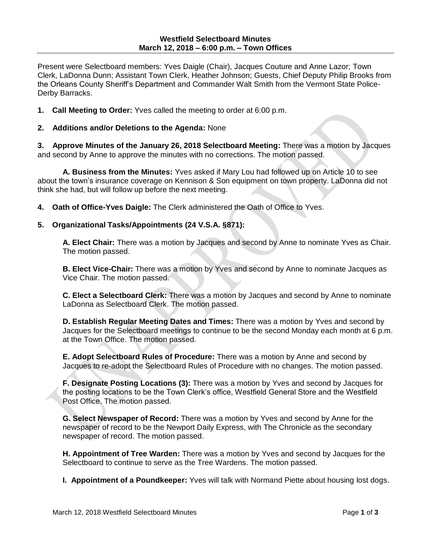Present were Selectboard members: Yves Daigle (Chair), Jacques Couture and Anne Lazor; Town Clerk, LaDonna Dunn; Assistant Town Clerk, Heather Johnson; Guests, Chief Deputy Philip Brooks from the Orleans County Sheriff's Department and Commander Walt Smith from the Vermont State Police-Derby Barracks.

- **1. Call Meeting to Order:** Yves called the meeting to order at 6:00 p.m.
- **2. Additions and/or Deletions to the Agenda:** None

**3. Approve Minutes of the January 26, 2018 Selectboard Meeting:** There was a motion by Jacques and second by Anne to approve the minutes with no corrections. The motion passed.

**A. Business from the Minutes:** Yves asked if Mary Lou had followed up on Article 10 to see about the town's insurance coverage on Kennison & Son equipment on town property. LaDonna did not think she had, but will follow up before the next meeting.

**4. Oath of Office-Yves Daigle:** The Clerk administered the Oath of Office to Yves.

### **5. Organizational Tasks/Appointments (24 V.S.A. §871):**

**A. Elect Chair:** There was a motion by Jacques and second by Anne to nominate Yves as Chair. The motion passed.

**B. Elect Vice-Chair:** There was a motion by Yves and second by Anne to nominate Jacques as Vice Chair. The motion passed.

**C. Elect a Selectboard Clerk:** There was a motion by Jacques and second by Anne to nominate LaDonna as Selectboard Clerk. The motion passed.

**D. Establish Regular Meeting Dates and Times:** There was a motion by Yves and second by Jacques for the Selectboard meetings to continue to be the second Monday each month at 6 p.m. at the Town Office. The motion passed.

**E. Adopt Selectboard Rules of Procedure:** There was a motion by Anne and second by Jacques to re-adopt the Selectboard Rules of Procedure with no changes. The motion passed.

**F. Designate Posting Locations (3):** There was a motion by Yves and second by Jacques for the posting locations to be the Town Clerk's office, Westfield General Store and the Westfield Post Office. The motion passed.

**G. Select Newspaper of Record:** There was a motion by Yves and second by Anne for the newspaper of record to be the Newport Daily Express, with The Chronicle as the secondary newspaper of record. The motion passed.

**H. Appointment of Tree Warden:** There was a motion by Yves and second by Jacques for the Selectboard to continue to serve as the Tree Wardens. The motion passed.

**I. Appointment of a Poundkeeper:** Yves will talk with Normand Piette about housing lost dogs.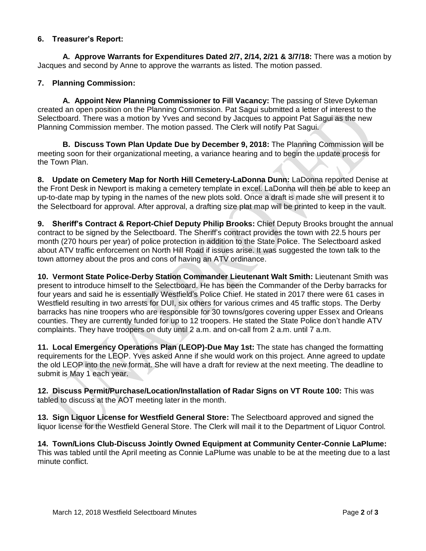## **6. Treasurer's Report:**

**A. Approve Warrants for Expenditures Dated 2/7, 2/14, 2/21 & 3/7/18:** There was a motion by Jacques and second by Anne to approve the warrants as listed. The motion passed.

# **7. Planning Commission:**

**A. Appoint New Planning Commissioner to Fill Vacancy:** The passing of Steve Dykeman created an open position on the Planning Commission. Pat Sagui submitted a letter of interest to the Selectboard. There was a motion by Yves and second by Jacques to appoint Pat Sagui as the new Planning Commission member. The motion passed. The Clerk will notify Pat Sagui.

**B. Discuss Town Plan Update Due by December 9, 2018:** The Planning Commission will be meeting soon for their organizational meeting, a variance hearing and to begin the update process for the Town Plan.

**8. Update on Cemetery Map for North Hill Cemetery-LaDonna Dunn:** LaDonna reported Denise at the Front Desk in Newport is making a cemetery template in excel. LaDonna will then be able to keep an up-to-date map by typing in the names of the new plots sold. Once a draft is made she will present it to the Selectboard for approval. After approval, a drafting size plat map will be printed to keep in the vault.

**9. Sheriff's Contract & Report-Chief Deputy Philip Brooks:** Chief Deputy Brooks brought the annual contract to be signed by the Selectboard. The Sheriff's contract provides the town with 22.5 hours per month (270 hours per year) of police protection in addition to the State Police. The Selectboard asked about ATV traffic enforcement on North Hill Road if issues arise. It was suggested the town talk to the town attorney about the pros and cons of having an ATV ordinance.

**10. Vermont State Police-Derby Station Commander Lieutenant Walt Smith:** Lieutenant Smith was present to introduce himself to the Selectboard. He has been the Commander of the Derby barracks for four years and said he is essentially Westfield's Police Chief. He stated in 2017 there were 61 cases in Westfield resulting in two arrests for DUI, six others for various crimes and 45 traffic stops. The Derby barracks has nine troopers who are responsible for 30 towns/gores covering upper Essex and Orleans counties. They are currently funded for up to 12 troopers. He stated the State Police don't handle ATV complaints. They have troopers on duty until 2 a.m. and on-call from 2 a.m. until 7 a.m.

**11. Local Emergency Operations Plan (LEOP)-Due May 1st:** The state has changed the formatting requirements for the LEOP. Yves asked Anne if she would work on this project. Anne agreed to update the old LEOP into the new format. She will have a draft for review at the next meeting. The deadline to submit is May 1 each year.

**12. Discuss Permit/Purchase/Location/Installation of Radar Signs on VT Route 100:** This was tabled to discuss at the AOT meeting later in the month.

**13. Sign Liquor License for Westfield General Store:** The Selectboard approved and signed the liquor license for the Westfield General Store. The Clerk will mail it to the Department of Liquor Control.

**14. Town/Lions Club-Discuss Jointly Owned Equipment at Community Center-Connie LaPlume:** This was tabled until the April meeting as Connie LaPlume was unable to be at the meeting due to a last minute conflict.